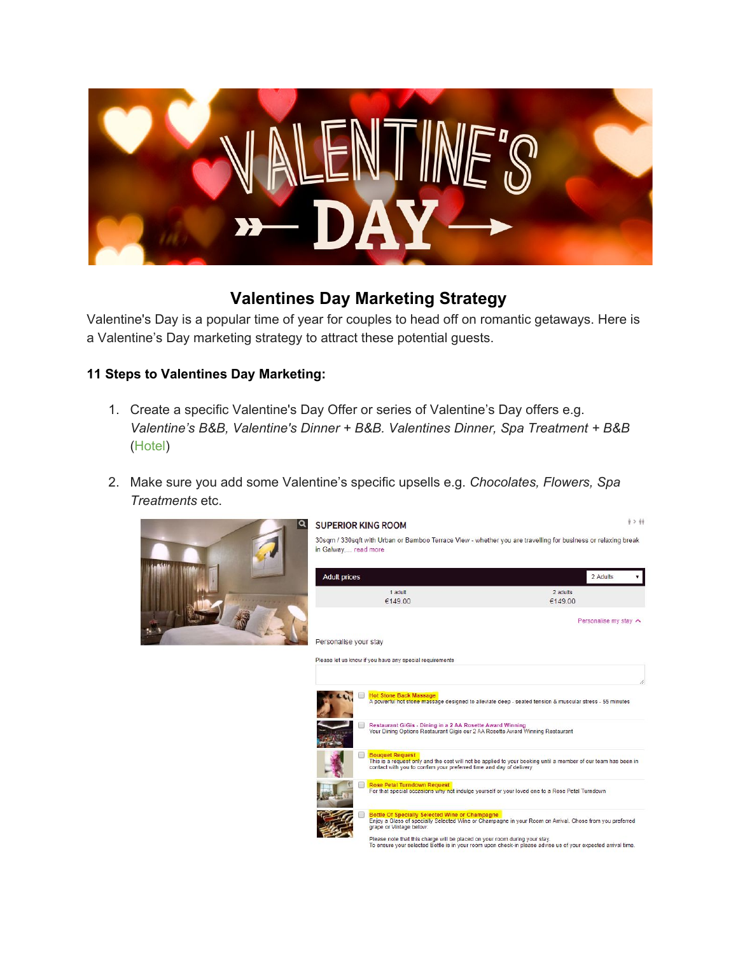

## **Valentines Day Marketing Strategy**

Valentine's Day is a popular time of year for couples to head off on romantic getaways. Here is a Valentine's Day marketing strategy to attract these potential guests.

### **11 Steps to Valentines Day Marketing:**

- 1. Create a specific Valentine's Day Offer or series of Valentine's Day offers e.g. *Valentine's B&B, Valentine's Dinner + B&B. Valentines Dinner, Spa Treatment + B&B* (Hotel)
- 2. Make sure you add some Valentine's specific upsells e.g. *Chocolates, Flowers, Spa Treatments* etc.





 $\hat{\eta} > \hat{\eta} \hat{\eta}$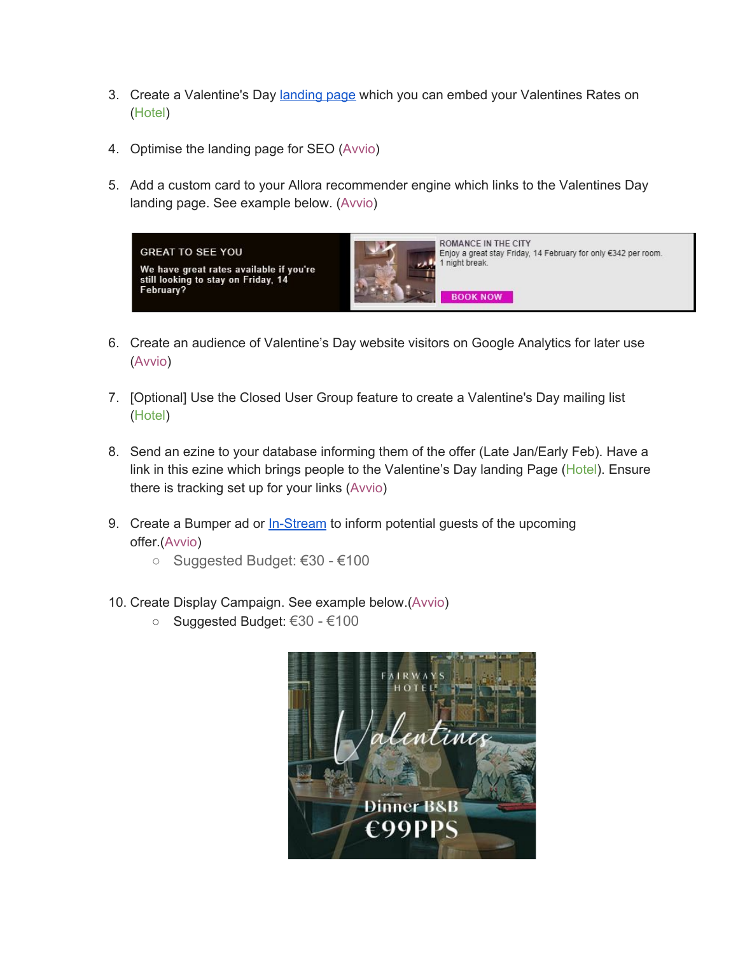- 3. Create a Valentine's Day [landing](https://www.theghotel.ie/valentines-day-galway.html) page which you can embed your Valentines Rates on (Hotel)
- 4. Optimise the landing page for SEO (Avvio)
- 5. Add a custom card to your Allora recommender engine which links to the Valentines Day landing page. See example below. (Avvio)



- 6. Create an audience of Valentine's Day website visitors on Google Analytics for later use (Avvio)
- 7. [Optional] Use the Closed User Group feature to create a Valentine's Day mailing list (Hotel)
- 8. Send an ezine to your database informing them of the offer (Late Jan/Early Feb). Have a link in this ezine which brings people to the Valentine's Day landing Page (Hotel). Ensure there is tracking set up for your links (Avvio)
- 9. Create a Bumper ad or [In-Stream](https://www.youtube.com/watch?v=VSCkrvtVt3Y&force_ad_encrypted=rbLuRiAoQ33K0WMD4UlsfpndEBhegX4hTHDqLl6nBZnDCeeLwW5yu2p_TWD2jjV1X8JGQ_tEL_rp13y6d7kE0XwzD7xpTObyPDEICX7C42yW9frwUancpC26v-gwXHsNLNnSBicLMPKljs9q3bTGIMbxdXndqWU4jEP5j3LHjzJ_Xe7crS5yDrgizlZpw1BrGISJiQhjyx6uvQ8xUQvKZ5kQXOKN9wm71-LOT85FrKxhvfqG1GTMA0MMPK_UrWvyAPSO8EoedAuDbFhmHk5rdzw1a1OfN1imxAtukan8hRfyTkmdRhQfqTy-8DykP3Pyzl9juVFWKvm47o2-96YwAhGEOSU7ZnyS) to inform potential guests of the upcoming offer.(Avvio)
	- Suggested Budget: €30 €100
- 10. Create Display Campaign. See example below.(Avvio)
	- Suggested Budget: €30 €100

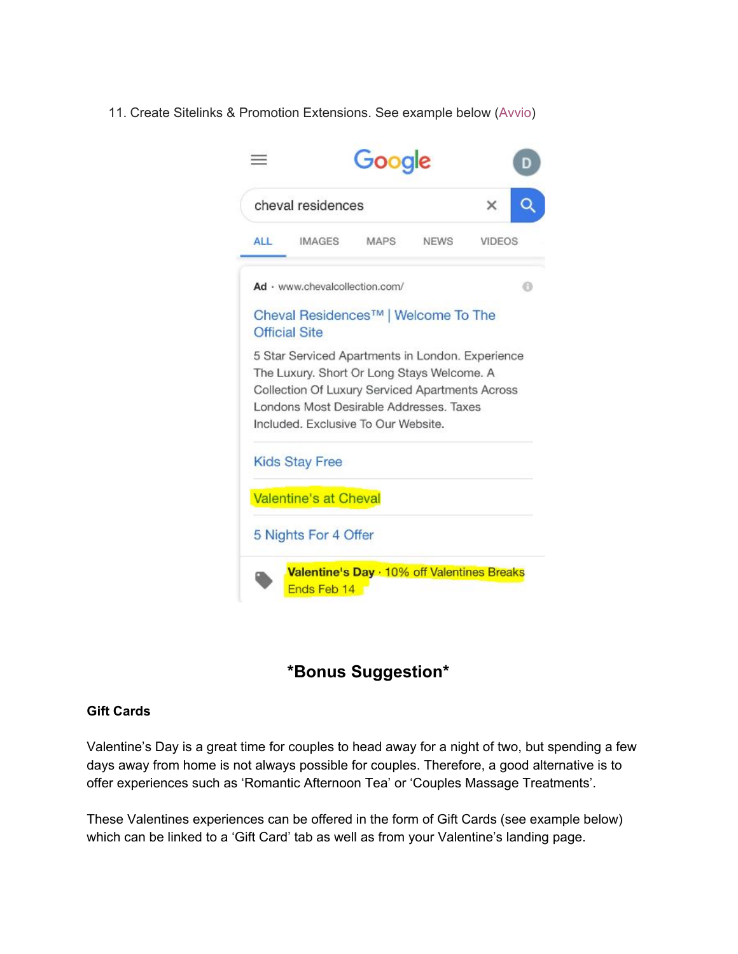#### 11. Create Sitelinks & Promotion Extensions. See example below (Avvio)



# **\*Bonus Suggestion\***

#### **Gift Cards**

Valentine's Day is a great time for couples to head away for a night of two, but spending a few days away from home is not always possible for couples. Therefore, a good alternative is to offer experiences such as 'Romantic Afternoon Tea' or 'Couples Massage Treatments'.

These Valentines experiences can be offered in the form of Gift Cards (see example below) which can be linked to a 'Gift Card' tab as well as from your Valentine's landing page.